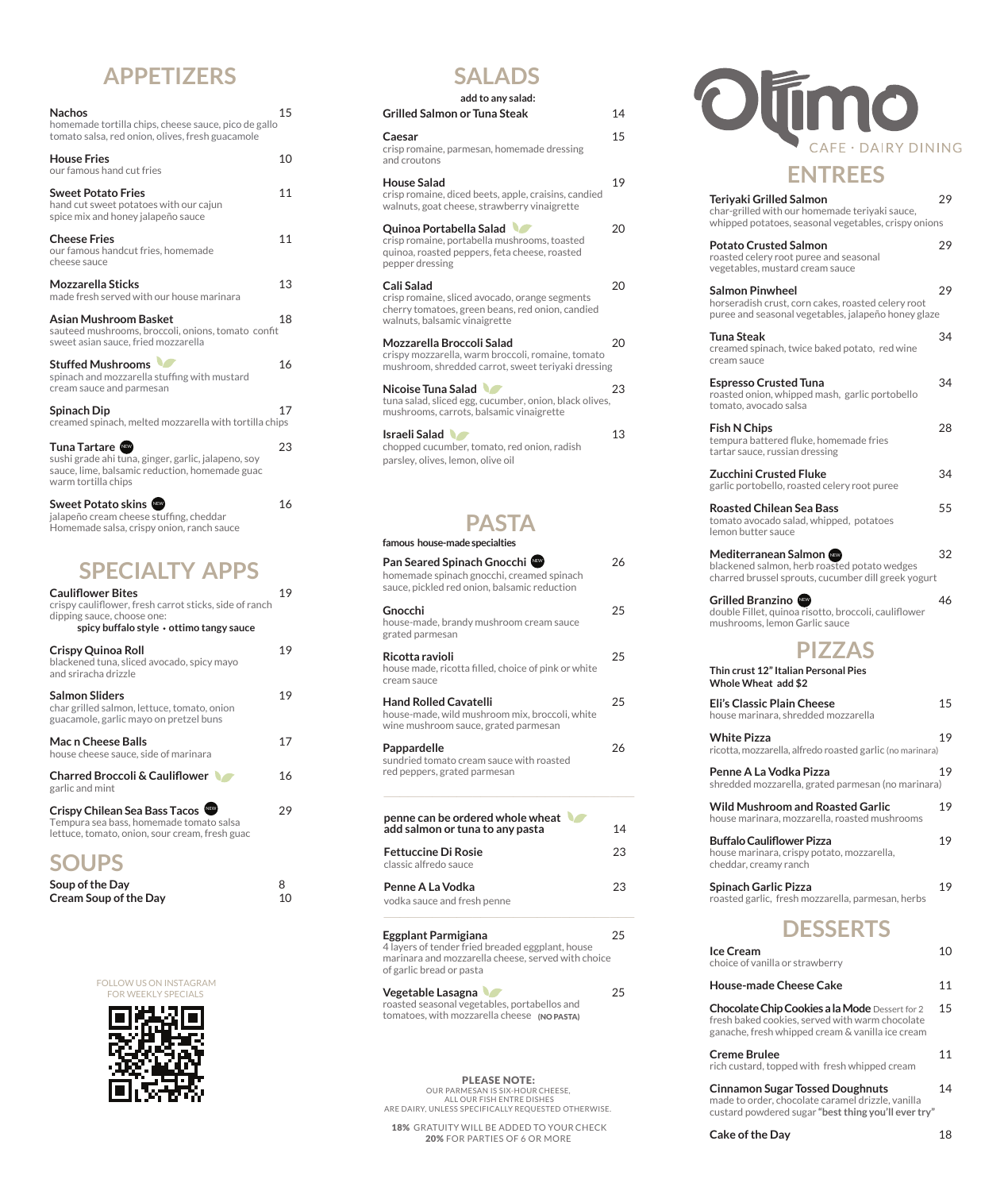### **APPETIZERS**

| <b>Nachos</b><br>homemade tortilla chips, cheese sauce, pico de gallo<br>tomato salsa, red onion, olives, fresh guacamole                    | 15 |
|----------------------------------------------------------------------------------------------------------------------------------------------|----|
| <b>House Fries</b><br>our famous hand cut fries                                                                                              | 10 |
| <b>Sweet Potato Fries</b><br>hand cut sweet potatoes with our cajun<br>spice mix and honey jalapeño sauce                                    | 11 |
| <b>Cheese Fries</b><br>our famous handcut fries, homemade<br>cheese sauce                                                                    | 11 |
| <b>Mozzarella Sticks</b><br>made fresh served with our house marinara                                                                        | 13 |
| Asian Mushroom Basket<br>sauteed mushrooms, broccoli, onions, tomato confit<br>sweet asian sauce, fried mozzarella                           | 18 |
| <b>Stuffed Mushrooms</b><br>spinach and mozzarella stuffing with mustard<br>cream sauce and parmesan                                         | 16 |
| Spinach Dip<br>creamed spinach, melted mozzarella with tortilla chips                                                                        | 17 |
| Tuna Tartare<br>sushi grade ahi tuna, ginger, garlic, jalapeno, soy<br>sauce, lime, balsamic reduction, homemade guac<br>warm tortilla chips | 23 |
| <b>Sweet Potato skins <a></a></b>                                                                                                            | 16 |

| jalapeño cream cheese stuffing, cheddar   |
|-------------------------------------------|
| Homemade salsa, crispy onion, ranch sauce |
|                                           |

# **SPECIALTY APPS**

| <b>Cauliflower Bites</b><br>crispy cauliflower, fresh carrot sticks, side of ranch<br>dipping sauce, choose one:<br>spicy buffalo style • ottimo tangy sauce | 19 |
|--------------------------------------------------------------------------------------------------------------------------------------------------------------|----|
| <b>Crispy Quinoa Roll</b><br>blackened tuna, sliced avocado, spicy mayo<br>and sriracha drizzle                                                              | 19 |
| <b>Salmon Sliders</b><br>char grilled salmon, lettuce, tomato, onion<br>guacamole, garlic mayo on pretzel buns                                               | 19 |
| Mac n Cheese Balls<br>house cheese sauce, side of marinara                                                                                                   | 17 |
| <b>Charred Broccoli &amp; Cauliflower</b><br>garlic and mint                                                                                                 | 16 |
| Crispy Chilean Sea Bass Tacos<br>Tempura sea bass, homemade tomato salsa<br>lettuce, tomato, onion, sour cream, fresh guac                                   | 29 |
| <b>SOUPS</b>                                                                                                                                                 |    |

| Soup of the Day              |    |
|------------------------------|----|
| <b>Cream Soup of the Day</b> | 10 |

#### FOLLOW US ON INSTAGRAM



### **SALADS**

| add to any salad:                                                                                                                                 |    |
|---------------------------------------------------------------------------------------------------------------------------------------------------|----|
| Grilled Salmon or Tuna Steak                                                                                                                      | 14 |
| Caesar<br>crisp romaine, parmesan, homemade dressing<br>and croutons                                                                              | 15 |
| House Salad<br>crisp romaine, diced beets, apple, craisins, candied<br>walnuts, goat cheese, strawberry vinaigrette                               | 19 |
| Quinoa Portabella Salad<br>crisp romaine, portabella mushrooms, toasted<br>quinoa, roasted peppers, feta cheese, roasted<br>pepper dressing       | 20 |
| Cali Salad<br>crisp romaine, sliced avocado, orange segments<br>cherry tomatoes, green beans, red onion, candied<br>walnuts, balsamic vinaigrette | 20 |
| Mozzarella Broccoli Salad<br>crispy mozzarella, warm broccoli, romaine, tomato<br>mushroom, shredded carrot, sweet teriyaki dressing              | 20 |
| Nicoise Tuna Salad<br>tuna salad, sliced egg, cucumber, onion, black olives,<br>mushrooms, carrots, balsamic vinaigrette                          | 23 |
| Israeli Salad<br>chopped cucumber, tomato, red onion, radish<br>parsley, olives, lemon, olive oil                                                 | 13 |
| <b>PASTA</b>                                                                                                                                      |    |
| famous house-made specialties                                                                                                                     |    |
| Pan Seared Spinach Gnocchi<br>homemade spinach gnocchi, creamed spinach<br>sauce, pickled red onion, balsamic reduction                           | 26 |
| Gnocchi<br>house-made, brandy mushroom cream sauce<br>grated parmesan                                                                             | 25 |
| Ricotta ravioli                                                                                                                                   | 25 |

| house made, ricotta filled, choice of pink or white<br>cream sauce |    |
|--------------------------------------------------------------------|----|
| <b>Hand Rolled Cavatelli</b>                                       | 25 |
| house-made, wild mushroom mix, broccoli, white                     |    |
| wine mushroom sauce, grated parmesan                               |    |

**Pappardelle** 26 sundried tomato cream sauce with roasted red peppers, grated parmesan

| penne can be ordered whole wheat<br>add salmon or tuna to any pasta | 14 |
|---------------------------------------------------------------------|----|
| <b>Fettuccine Di Rosie</b><br>classic alfredo sauce                 | 23 |
| Penne A La Vodka<br>vodka sauce and fresh penne                     | 23 |
|                                                                     |    |

**Eggplant Parmigiana** 25 4 layers of tender fried breaded eggplant, house marinara and mozzarella cheese, served with choice of garlic bread or pasta  $\mathbf{r}$ 

| Vegetable Lasagna                            | 25 |
|----------------------------------------------|----|
| roasted seasonal vegetables, portabellos and |    |
| tomatoes, with mozzarella cheese (NO PASTA)  |    |

PLEASE NOTE: OUR PARMESAN IS SIX-HOUR CHEESE,<br>ALL OUR FISH ENTRE DISHES<br>ARE DAIRY, UNLESS SPECIFICALLY REQUESTED OTHERWISE.

18% GRATUITY WILL BE ADDED TO YOUR CHECK 20% FOR PARTIES OF 6 OR MORE



### **ENTREES**

| Teriyaki Grilled Salmon<br>char-grilled with our homemade teriyaki sauce,                                                           | 29 |
|-------------------------------------------------------------------------------------------------------------------------------------|----|
| whipped potatoes, seasonal vegetables, crispy onions                                                                                |    |
| <b>Potato Crusted Salmon</b><br>roasted celery root puree and seasonal<br>vegetables, mustard cream sauce                           | 29 |
| <b>Salmon Pinwheel</b><br>horseradish crust, corn cakes, roasted celery root<br>puree and seasonal vegetables, jalapeño honey glaze | 29 |
| Tuna Steak<br>creamed spinach, twice baked potato, red wine<br>cream sauce                                                          | 34 |
| <b>Espresso Crusted Tuna</b><br>roasted onion, whipped mash, garlic portobello<br>tomato, avocado salsa                             | 34 |
| <b>Fish N Chips</b><br>tempura battered fluke, homemade fries<br>tartar sauce, russian dressing                                     | 28 |
| <b>Zucchini Crusted Fluke</b><br>garlic portobello, roasted celery root puree                                                       | 34 |
| Roasted Chilean Sea Bass<br>tomato avocado salad, whipped, potatoes<br>lemon butter sauce                                           | 55 |
| Mediterranean Salmon ‱<br>blackened salmon, herb roasted potato wedges<br>charred brussel sprouts, cucumber dill greek yogurt       | 32 |
| double Fillet, quinoa risotto, broccoli, cauliflower<br>mushrooms, lemon Garlic sauce                                               | 46 |
| <b>PIZZAS</b>                                                                                                                       |    |
| Thin crust 12" Italian Personal Pies<br>Whole Wheat add \$2                                                                         |    |
| Eli's Classic Plain Cheese<br>house marinara, shredded mozzarella                                                                   | 15 |
| <b>White Pizza</b><br>ricotta, mozzarella, alfredo roasted garlic (no marinara)                                                     | 19 |
| Penne A La Vodka Pizza<br>shredded mozzarella, grated parmesan (no marinara)                                                        | 19 |
| <b>Wild Mushroom and Roasted Garlic</b><br>house marinara, mozzarella, roasted mushrooms                                            | 19 |
| <b>Buffalo Cauliflower Pizza</b><br>house marinara, crispy potato, mozzarella,<br>cheddar, creamy ranch                             | 19 |
| <b>Spinach Garlic Pizza</b><br>roasted garlic, fresh mozzarella, parmesan, herbs                                                    | 19 |
| <b>DESSERTS</b>                                                                                                                     |    |
| Ice Cream<br>choice of vanilla or strawberry                                                                                        | 10 |
| <b>House-made Cheese Cake</b>                                                                                                       | 11 |
| Chocolate Chip Cookies a la Mode Dessert for 2                                                                                      | 15 |

| Creme Brulee                                                                                        | 11 |
|-----------------------------------------------------------------------------------------------------|----|
| fresh baked cookies, served with warm chocolate<br>ganache. fresh whipped cream & vanilla ice cream |    |
| Chocolate Chip Cookies a la Mode Dessertion 2                                                       | ⊥. |

|  | Cinnamon Sugar Tossed Doughnuts               | 14 |
|--|-----------------------------------------------|----|
|  | rich custard, topped with fresh whipped cream |    |

made to order, chocolate caramel drizzle, vanilla custard powdered sugar **"best thing you'll ever try"** 

**Cake of the Day** 18